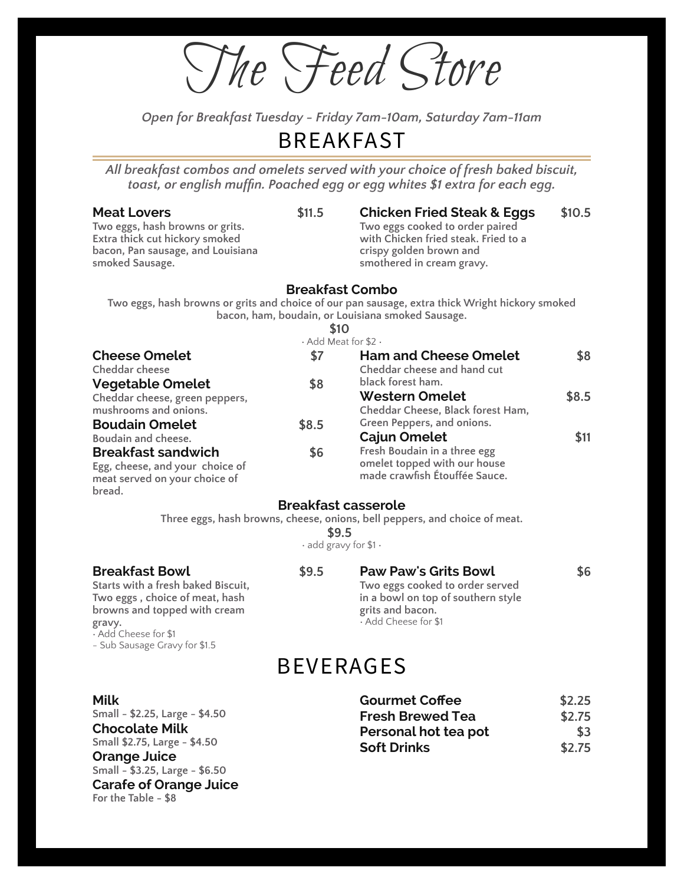The Feed Store

*Open for Breakfast Tuesday - Friday 7am-10am, Saturday 7am-11am*

### BREAKFAST

*All breakfast combos and omelets served with your choice of fresh baked biscuit, toast, or english muf)n. Poached egg or egg whites \$1 extra for each egg.*

|                                                                                                                                                 |        | toust, or enginent indifficult calculed edd or edd writtes in extra for each edd.                                                                                        |        |
|-------------------------------------------------------------------------------------------------------------------------------------------------|--------|--------------------------------------------------------------------------------------------------------------------------------------------------------------------------|--------|
| <b>Meat Lovers</b><br>Two eggs, hash browns or grits.<br>Extra thick cut hickory smoked<br>bacon, Pan sausage, and Louisiana<br>smoked Sausage. | \$11.5 | <b>Chicken Fried Steak &amp; Eggs</b><br>Two eggs cooked to order paired<br>with Chicken fried steak. Fried to a<br>crispy golden brown and<br>smothered in cream gravy. | \$10.5 |
|                                                                                                                                                 |        | <b>Breakfast Combo</b>                                                                                                                                                   |        |
|                                                                                                                                                 |        | Two eggs, hash browns or grits and choice of our pan sausage, extra thick Wright hickory smoked<br>bacon, ham, boudain, or Louisiana smoked Sausage.                     |        |
|                                                                                                                                                 | \$10   |                                                                                                                                                                          |        |
|                                                                                                                                                 |        | $\cdot$ Add Meat for \$2 $\cdot$                                                                                                                                         |        |
| <b>Cheese Omelet</b>                                                                                                                            | \$7    | <b>Ham and Cheese Omelet</b>                                                                                                                                             | \$8    |
| Cheddar cheese                                                                                                                                  |        | Cheddar cheese and hand cut                                                                                                                                              |        |
| <b>Vegetable Omelet</b>                                                                                                                         | \$8    | black forest ham.                                                                                                                                                        |        |
| Cheddar cheese, green peppers,                                                                                                                  |        | <b>Western Omelet</b>                                                                                                                                                    | \$8.5  |
| mushrooms and onions.                                                                                                                           |        | Cheddar Cheese, Black forest Ham,                                                                                                                                        |        |
| <b>Boudain Omelet</b>                                                                                                                           | \$8.5  | Green Peppers, and onions.                                                                                                                                               |        |
| Boudain and cheese.                                                                                                                             |        | <b>Cajun Omelet</b>                                                                                                                                                      | \$11   |
| <b>Breakfast sandwich</b>                                                                                                                       | \$6    | Fresh Boudain in a three egg                                                                                                                                             |        |
| Egg, cheese, and your choice of                                                                                                                 |        | omelet topped with our house<br>made crawfish Étouffée Sauce.                                                                                                            |        |
| meat served on your choice of                                                                                                                   |        |                                                                                                                                                                          |        |
| bread.                                                                                                                                          |        |                                                                                                                                                                          |        |
|                                                                                                                                                 |        | <b>Breakfast casserole</b><br>Three eggs, bash browns, cheese, onions, hell nenners, and choice of meat                                                                  |        |
|                                                                                                                                                 |        |                                                                                                                                                                          |        |

**Three eggs, hash browns, cheese, onions, bell peppers, and choice of meat.**

**Paw Paw's Grits Bowl \$6**

**Two eggs cooked to order served in a bowl on top of southern style**

**grits and bacon.** • Add Cheese for \$1

**\$9.5** • add gravy for \$1 •

#### **Breakfast Bowl \$9.5**

**Starts with a fresh baked Biscuit, Two eggs , choice of meat, hash browns and topped with cream gravy.** • Add Cheese for \$1

- Sub Sausage Gravy for \$1.5

**Small - \$3.25, Large - \$6.50**

**For the Table - \$8**

**Carafe of Orange Juice**

### BEVERAGES

| <b>Milk</b>                    | <b>Gourmet Coffee</b>   | \$2.25 |
|--------------------------------|-------------------------|--------|
| Small - \$2.25, Large - \$4.50 | <b>Fresh Brewed Tea</b> | \$2.75 |
| <b>Chocolate Milk</b>          | Personal hot tea pot    | \$3    |
| Small \$2.75, Large - \$4.50   | <b>Soft Drinks</b>      | \$2.75 |
| <b>Orange Juice</b>            |                         |        |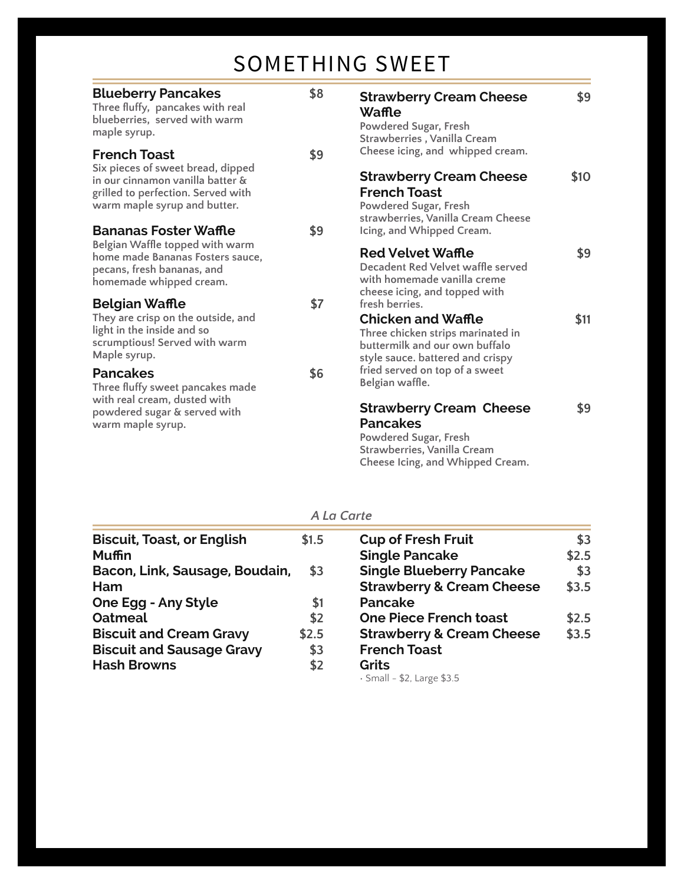### SOMETHING SWEET

| <b>Blueberry Pancakes</b><br>Three fluffy, pancakes with real<br>blueberries, served with warm<br>maple syrup.                                                     | \$8 | <b>Strawberry Cream Cheese</b><br>Waffle<br>Powdered Sugar, Fresh<br>Strawberries, Vanilla Cream                                                         | \$9  |
|--------------------------------------------------------------------------------------------------------------------------------------------------------------------|-----|----------------------------------------------------------------------------------------------------------------------------------------------------------|------|
| <b>French Toast</b><br>Six pieces of sweet bread, dipped<br>in our cinnamon vanilla batter &<br>grilled to perfection. Served with<br>warm maple syrup and butter. | \$9 | Cheese icing, and whipped cream.<br><b>Strawberry Cream Cheese</b><br><b>French Toast</b><br>Powdered Sugar, Fresh<br>strawberries, Vanilla Cream Cheese | \$10 |
| <b>Bananas Foster Waffle</b>                                                                                                                                       | \$9 | Icing, and Whipped Cream.                                                                                                                                |      |
| Belgian Waffle topped with warm<br>home made Bananas Fosters sauce,<br>pecans, fresh bananas, and<br>homemade whipped cream.                                       |     | <b>Red Velvet Waffle</b><br>Decadent Red Velvet waffle served<br>with homemade vanilla creme<br>cheese icing, and topped with                            | \$9  |
| <b>Belgian Waffle</b><br>They are crisp on the outside, and<br>light in the inside and so<br>scrumptious! Served with warm<br>Maple syrup.                         | \$7 | fresh berries.<br><b>Chicken and Waffle</b><br>Three chicken strips marinated in<br>buttermilk and our own buffalo<br>style sauce. battered and crispy   | \$11 |
| <b>Pancakes</b><br>Three fluffy sweet pancakes made                                                                                                                | \$6 | fried served on top of a sweet<br>Belgian waffle.                                                                                                        |      |
| with real cream, dusted with<br>powdered sugar & served with<br>warm maple syrup.                                                                                  |     | <b>Strawberry Cream Cheese</b><br><b>Pancakes</b><br>Powdered Sugar, Fresh<br>Strawberries, Vanilla Cream<br>Cheese Icing, and Whipped Cream.            | \$9  |

#### *A La Carte*

| <b>Biscuit, Toast, or English</b> | \$1.5 | <b>Cup of Fresh Fruit</b>            | \$3   |
|-----------------------------------|-------|--------------------------------------|-------|
| <b>Muffin</b>                     |       | <b>Single Pancake</b>                | \$2.5 |
| Bacon, Link, Sausage, Boudain,    | \$3   | <b>Single Blueberry Pancake</b>      | \$3   |
| Ham                               |       | <b>Strawberry &amp; Cream Cheese</b> | \$3.5 |
| <b>One Egg - Any Style</b>        | \$1   | <b>Pancake</b>                       |       |
| <b>Oatmeal</b>                    | \$2   | <b>One Piece French toast</b>        | \$2.5 |
| <b>Biscuit and Cream Gravy</b>    | \$2.5 | <b>Strawberry &amp; Cream Cheese</b> | \$3.5 |
| <b>Biscuit and Sausage Gravy</b>  | \$3   | <b>French Toast</b>                  |       |
| <b>Hash Browns</b>                | \$2   | Grits                                |       |
|                                   |       | $\cdot$ Small - \$2, Large \$3.5     |       |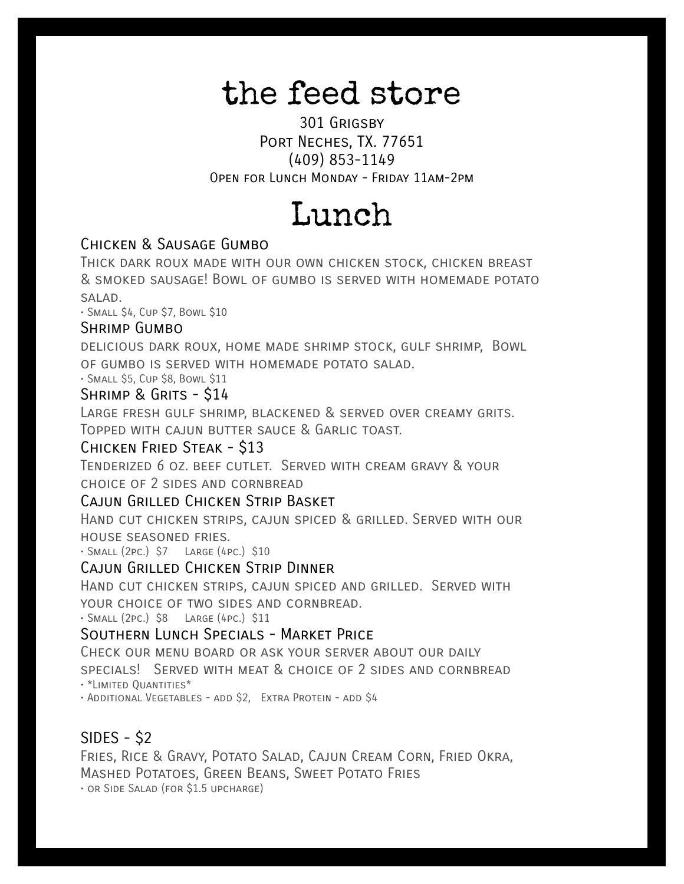# the feed store

301 Grigsby Port Neches, TX. 77651 (409) 853-1149 Open for Lunch Monday - Friday 11am-2pm

# Lunch

#### Chicken & Sausage Gumbo

Thick dark roux made with our own chicken stock, chicken breast & smoked sausage! Bowl of gumbo is served with homemade potato salad.

• Small \$4, Cup \$7, Bowl \$10

#### Shrimp Gumbo

delicious dark roux, home made shrimp stock, gulf shrimp, Bowl of gumbo is served with homemade potato salad.

• Small \$5, Cup \$8, Bowl \$11

#### Shrimp & Grits - \$14

Large fresh gulf shrimp, blackened & served over creamy grits. Topped with cajun butter sauce & Garlic toast.

#### Chicken Fried Steak - \$13

Tenderized 6 oz. beef cutlet. Served with cream gravy & your choice of 2 sides and cornbread

#### Cajun Grilled Chicken Strip Basket

Hand cut chicken strips, cajun spiced & grilled. Served with our house seasoned fries.

• Small (2pc.) \$7 Large (4pc.) \$10

#### CAJUN GRILLED CHICKEN STRIP DINNER

Hand cut chicken strips, cajun spiced and grilled. Served with YOUR CHOICE OF TWO SIDES AND CORNBREAD.

• Small (2pc.) \$8 Large (4pc.) \$11

#### Southern Lunch Specials - Market Price

Check our menu board or ask your server about our daily

specials! Served with meat & choice of 2 sides and cornbread

• \*Limited Quantities\*

• Additional Vegetables - add \$2, Extra Protein - add \$4

#### SIDES - \$2

Fries, Rice & Gravy, Potato Salad, Cajun Cream Corn, Fried Okra, Mashed Potatoes, Green Beans, Sweet Potato Fries • or Side Salad (for \$1.5 upcharge)